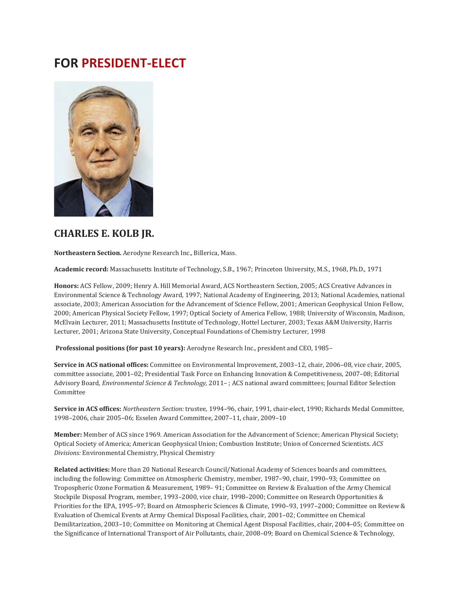# **FOR PRESIDENT-ELECT**



### **CHARLES E. KOLB JR.**

**Northeastern Section.** Aerodyne Research Inc., Billerica, Mass.

**Academic record:** Massachusetts Institute of Technology, S.B., 1967; Princeton University, M.S., 1968, Ph.D., 1971

**Honors:** ACS Fellow, 2009; Henry A. Hill Memorial Award, ACS Northeastern Section, 2005; ACS Creative Advances in Environmental Science & Technology Award, 1997; National Academy of Engineering, 2013; National Academies, national associate, 2003; American Association for the Advancement of Science Fellow, 2001; American Geophysical Union Fellow, 2000; American Physical Society Fellow, 1997; Optical Society of America Fellow, 1988; University of Wisconsin, Madison, McElvain Lecturer, 2011; Massachusetts Institute of Technology, Hottel Lecturer, 2003; Texas A&M University, Harris Lecturer, 2001; Arizona State University, Conceptual Foundations of Chemistry Lecturer, 1998

**Professional positions (for past 10 years):** Aerodyne Research Inc., president and CEO, 1985–

**Service in ACS national offices:** Committee on Environmental Improvement, 2003–12, chair, 2006–08, vice chair, 2005, committee associate, 2001–02; Presidential Task Force on Enhancing Innovation & Competitiveness, 2007–08; Editorial Advisory Board, *Environmental Science & Technology,* 2011– ; ACS national award committees; Journal Editor Selection Committee

**Service in ACS offices:** *Northeastern Section:* trustee, 1994–96, chair, 1991, chair-elect, 1990; Richards Medal Committee, 1998–2006, chair 2005–06; Esselen Award Committee, 2007–11, chair, 2009–10

**Member:** Member of ACS since 1969. American Association for the Advancement of Science; American Physical Society; Optical Society of America; American Geophysical Union; Combustion Institute; Union of Concerned Scientists. *ACS Divisions:* Environmental Chemistry, Physical Chemistry

**Related activities:** More than 20 National Research Council/National Academy of Sciences boards and committees, including the following: Committee on Atmospheric Chemistry, member, 1987–90, chair, 1990–93; Committee on Tropospheric Ozone Formation & Measurement, 1989– 91; Committee on Review & Evaluation of the Army Chemical Stockpile Disposal Program, member, 1993–2000, vice chair, 1998–2000; Committee on Research Opportunities & Priorities for the EPA, 1995–97; Board on Atmospheric Sciences & Climate, 1990–93, 1997–2000; Committee on Review & Evaluation of Chemical Events at Army Chemical Disposal Facilities, chair, 2001–02; Committee on Chemical Demilitarization, 2003–10; Committee on Monitoring at Chemical Agent Disposal Facilities, chair, 2004–05; Committee on the Significance of International Transport of Air Pollutants, chair, 2008–09; Board on Chemical Science & Technology,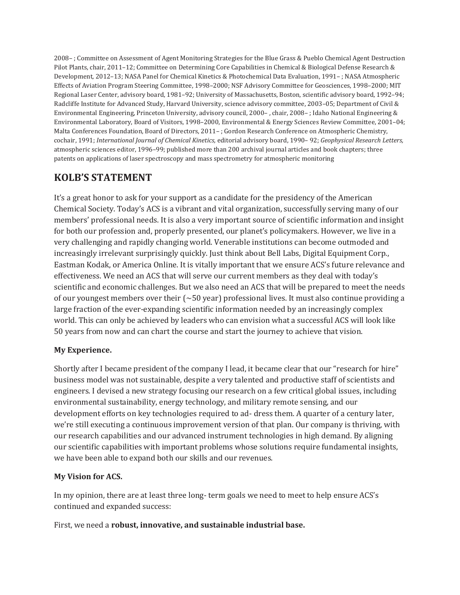2008– ; Committee on Assessment of Agent Monitoring Strategies for the Blue Grass & Pueblo Chemical Agent Destruction Pilot Plants, chair, 2011–12; Committee on Determining Core Capabilities in Chemical & Biological Defense Research & Development, 2012–13; NASA Panel for Chemical Kinetics & Photochemical Data Evaluation, 1991– ; NASA Atmospheric Effects of Aviation Program Steering Committee, 1998–2000; NSF Advisory Committee for Geosciences, 1998–2000; MIT Regional Laser Center, advisory board, 1981–92; University of Massachusetts, Boston, scientific advisory board, 1992–94; Radcliffe Institute for Advanced Study, Harvard University, science advisory committee, 2003–05; Department of Civil & Environmental Engineering, Princeton University, advisory council, 2000– , chair, 2008– ; Idaho National Engineering & Environmental Laboratory, Board of Visitors, 1998–2000, Environmental & Energy Sciences Review Committee, 2001–04; Malta Conferences Foundation, Board of Directors, 2011– ; Gordon Research Conference on Atmospheric Chemistry, cochair, 1991; *International Journal of Chemical Kinetics,* editorial advisory board, 1990– 92; *Geophysical Research Letters,*  atmospheric sciences editor, 1996–99; published more than 200 archival journal articles and book chapters; three patents on applications of laser spectroscopy and mass spectrometry for atmospheric monitoring

## **KOLB'S STATEMENT**

It's a great honor to ask for your support as a candidate for the presidency of the American Chemical Society. Today's ACS is a vibrant and vital organization, successfully serving many of our members' professional needs. It is also a very important source of scientific information and insight for both our profession and, properly presented, our planet's policymakers. However, we live in a very challenging and rapidly changing world. Venerable institutions can become outmoded and increasingly irrelevant surprisingly quickly. Just think about Bell Labs, Digital Equipment Corp., Eastman Kodak, or America Online. It is vitally important that we ensure ACS's future relevance and effectiveness. We need an ACS that will serve our current members as they deal with today's scientific and economic challenges. But we also need an ACS that will be prepared to meet the needs of our youngest members over their  $\sim 50$  year) professional lives. It must also continue providing a large fraction of the ever-expanding scientific information needed by an increasingly complex world. This can only be achieved by leaders who can envision what a successful ACS will look like 50 years from now and can chart the course and start the journey to achieve that vision.

#### **My Experience.**

Shortly after I became president of the company I lead, it became clear that our "research for hire" business model was not sustainable, despite a very talented and productive staff of scientists and engineers. I devised a new strategy focusing our research on a few critical global issues, including environmental sustainability, energy technology, and military remote sensing, and our development efforts on key technologies required to ad- dress them. A quarter of a century later, we're still executing a continuous improvement version of that plan. Our company is thriving, with our research capabilities and our advanced instrument technologies in high demand. By aligning our scientific capabilities with important problems whose solutions require fundamental insights, we have been able to expand both our skills and our revenues.

#### **My Vision for ACS.**

In my opinion, there are at least three long- term goals we need to meet to help ensure ACS's continued and expanded success:

First, we need a **robust, innovative, and sustainable industrial base.**